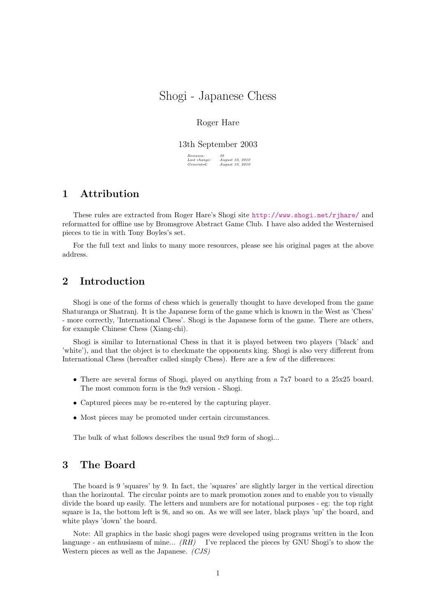# Shogi - Japanese Chess

## Roger Hare

#### 13th September 2003

 $\begin{array}{l} \textit{Revision:} \\ \textit{Last change} \\ \textit{Generaled:} \end{array}$ Last change: August 10, 2010 Generated: August 10, 2010

# 1 Attribution

These rules are extracted from Roger Hare's Shogi site <http://www.shogi.net/rjhare/> and reformatted for offline use by Bromsgrove Abstract Game Club. I have also added the Westernised pieces to tie in with Tony Boyles's set.

For the full text and links to many more resources, please see his original pages at the above address.

# 2 Introduction

Shogi is one of the forms of chess which is generally thought to have developed from the game Shaturanga or Shatranj. It is the Japanese form of the game which is known in the West as 'Chess' - more correctly, 'International Chess'. Shogi is the Japanese form of the game. There are others, for example Chinese Chess (Xiang-chi).

Shogi is similar to International Chess in that it is played between two players ('black' and 'white'), and that the object is to checkmate the opponents king. Shogi is also very different from International Chess (hereafter called simply Chess). Here are a few of the differences:

- There are several forms of Shogi, played on anything from a 7x7 board to a 25x25 board. The most common form is the 9x9 version - Shogi.
- Captured pieces may be re-entered by the capturing player.
- Most pieces may be promoted under certain circumstances.

The bulk of what follows describes the usual 9x9 form of shogi...

# 3 The Board

The board is 9 'squares' by 9. In fact, the 'squares' are slightly larger in the vertical direction than the horizontal. The circular points are to mark promotion zones and to enable you to visually divide the board up easily. The letters and numbers are for notational purposes - eg: the top right square is 1a, the bottom left is 9i, and so on. As we will see later, black plays 'up' the board, and white plays 'down' the board.

Note: All graphics in the basic shogi pages were developed using programs written in the Icon language - an enthusiasm of mine...  $(RH)$  I've replaced the pieces by GNU Shogi's to show the Western pieces as well as the Japanese. (CJS)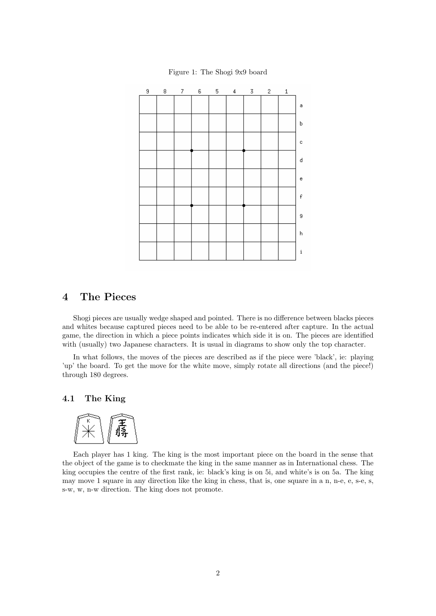

Figure 1: The Shogi 9x9 board

# 4 The Pieces

Shogi pieces are usually wedge shaped and pointed. There is no difference between blacks pieces and whites because captured pieces need to be able to be re-entered after capture. In the actual game, the direction in which a piece points indicates which side it is on. The pieces are identified with (usually) two Japanese characters. It is usual in diagrams to show only the top character.

In what follows, the moves of the pieces are described as if the piece were 'black', ie: playing 'up' the board. To get the move for the white move, simply rotate all directions (and the piece!) through 180 degrees.

# 4.1 The King



Each player has 1 king. The king is the most important piece on the board in the sense that the object of the game is to checkmate the king in the same manner as in International chess. The king occupies the centre of the first rank, ie: black's king is on 5i, and white's is on 5a. The king may move 1 square in any direction like the king in chess, that is, one square in a n, n-e, e, s-e, s, s-w, w, n-w direction. The king does not promote.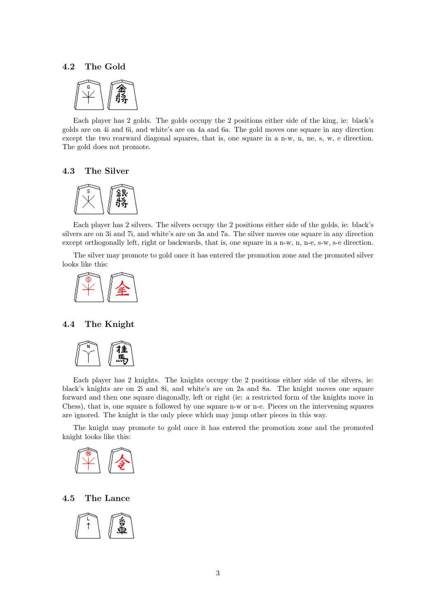#### 4.2 The Gold



Each player has 2 golds. The golds occupy the 2 positions either side of the king, ie: black's golds are on 4i and 6i, and white's are on 4a and 6a. The gold moves one square in any direction except the two rearward diagonal squares, that is, one square in a n-w, n, ne, s, w, e direction. The gold does not promote.

## 4.3 The Silver



Each player has 2 silvers. The silvers occupy the 2 positions either side of the golds, ie: black's silvers are on 3i and 7i, and white's are on 3a and 7a. The silver moves one square in any direction except orthogonally left, right or backwards, that is, one square in a n-w, n, n-e, s-w, s-e direction.

The silver may promote to gold once it has entered the promotion zone and the promoted silver looks like this:



## 4.4 The Knight



Each player has 2 knights. The knights occupy the 2 positions either side of the silvers, ie: black's knights are on 2i and 8i, and white's are on 2a and 8a. The knight moves one square forward and then one square diagonally, left or right (ie: a restricted form of the knights move in Chess), that is, one square n followed by one square n-w or n-e. Pieces on the intervening squares are ignored. The knight is the only piece which may jump other pieces in this way.

The knight may promote to gold once it has entered the promotion zone and the promoted knight looks like this:



#### 4.5 The Lance

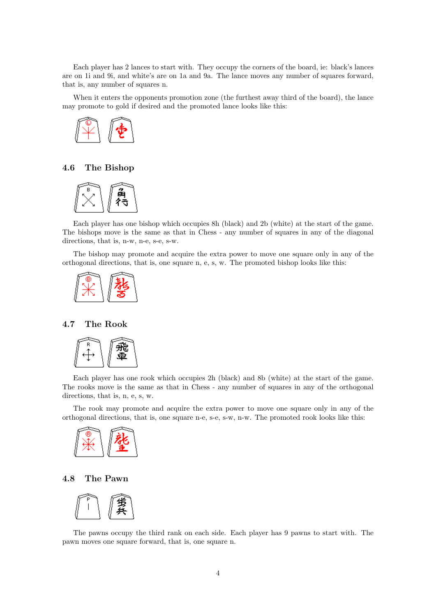Each player has 2 lances to start with. They occupy the corners of the board, ie: black's lances are on 1i and 9i, and white's are on 1a and 9a. The lance moves any number of squares forward, that is, any number of squares n.

When it enters the opponents promotion zone (the furthest away third of the board), the lance may promote to gold if desired and the promoted lance looks like this:



# 4.6 The Bishop



Each player has one bishop which occupies 8h (black) and 2b (white) at the start of the game. The bishops move is the same as that in Chess - any number of squares in any of the diagonal directions, that is, n-w, n-e, s-e, s-w.

The bishop may promote and acquire the extra power to move one square only in any of the orthogonal directions, that is, one square n, e, s, w. The promoted bishop looks like this:



### 4.7 The Rook



Each player has one rook which occupies 2h (black) and 8b (white) at the start of the game. The rooks move is the same as that in Chess - any number of squares in any of the orthogonal directions, that is, n, e, s, w.

The rook may promote and acquire the extra power to move one square only in any of the orthogonal directions, that is, one square n-e, s-e, s-w, n-w. The promoted rook looks like this:



## 4.8 The Pawn



The pawns occupy the third rank on each side. Each player has 9 pawns to start with. The pawn moves one square forward, that is, one square n.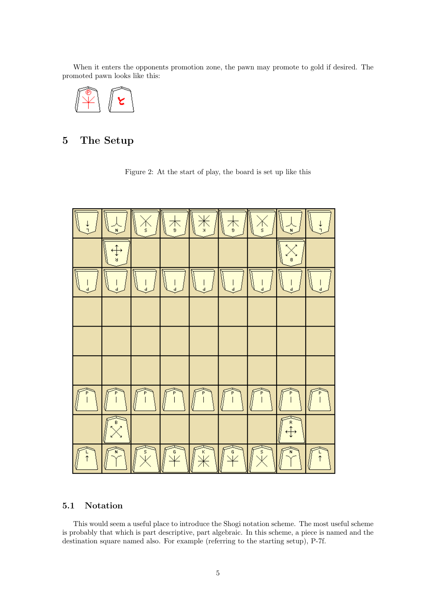When it enters the opponents promotion zone, the pawn may promote to gold if desired. The promoted pawn looks like this:



# 5 The Setup

Figure 2: At the start of play, the board is set up like this



# 5.1 Notation

This would seem a useful place to introduce the Shogi notation scheme. The most useful scheme is probably that which is part descriptive, part algebraic. In this scheme, a piece is named and the destination square named also. For example (referring to the starting setup), P-7f.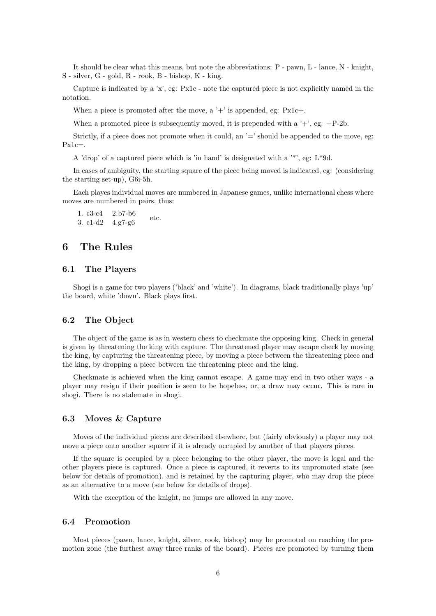It should be clear what this means, but note the abbreviations: P - pawn, L - lance, N - knight, S - silver, G - gold, R - rook, B - bishop, K - king.

Capture is indicated by a 'x', eg: Px1c - note the captured piece is not explicitly named in the notation.

When a piece is promoted after the move, a '+' is appended, eg:  $P \text{x1c+}$ .

When a promoted piece is subsequently moved, it is prepended with a  $'+$ , eg:  $+P-2b$ .

Strictly, if a piece does not promote when it could, an  $=$  should be appended to the move, eg:  $Px1c=$ .

A 'drop' of a captured piece which is 'in hand' is designated with a  $\cdot^*$ , eg: L $*9d$ .

In cases of ambiguity, the starting square of the piece being moved is indicated, eg: (considering the starting set-up), G6i-5h.

Each playes individual moves are numbered in Japanese games, unlike international chess where moves are numbered in pairs, thus:

1. c3-c4 2.b7-b6 3. c1-d2  $4.97-g6$  etc.

# 6 The Rules

## 6.1 The Players

Shogi is a game for two players ('black' and 'white'). In diagrams, black traditionally plays 'up' the board, white 'down'. Black plays first.

#### 6.2 The Object

The object of the game is as in western chess to checkmate the opposing king. Check in general is given by threatening the king with capture. The threatened player may escape check by moving the king, by capturing the threatening piece, by moving a piece between the threatening piece and the king, by dropping a piece between the threatening piece and the king.

Checkmate is achieved when the king cannot escape. A game may end in two other ways - a player may resign if their position is seen to be hopeless, or, a draw may occur. This is rare in shogi. There is no stalemate in shogi.

#### 6.3 Moves & Capture

Moves of the individual pieces are described elsewhere, but (fairly obviously) a player may not move a piece onto another square if it is already occupied by another of that players pieces.

If the square is occupied by a piece belonging to the other player, the move is legal and the other players piece is captured. Once a piece is captured, it reverts to its unpromoted state (see below for details of promotion), and is retained by the capturing player, who may drop the piece as an alternative to a move (see below for details of drops).

With the exception of the knight, no jumps are allowed in any move.

#### 6.4 Promotion

Most pieces (pawn, lance, knight, silver, rook, bishop) may be promoted on reaching the promotion zone (the furthest away three ranks of the board). Pieces are promoted by turning them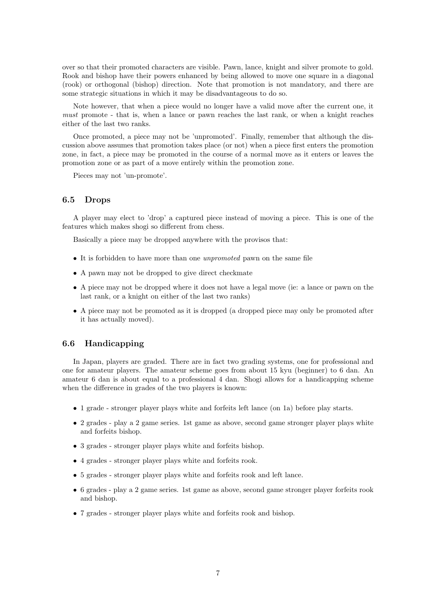over so that their promoted characters are visible. Pawn, lance, knight and silver promote to gold. Rook and bishop have their powers enhanced by being allowed to move one square in a diagonal (rook) or orthogonal (bishop) direction. Note that promotion is not mandatory, and there are some strategic situations in which it may be disadvantageous to do so.

Note however, that when a piece would no longer have a valid move after the current one, it must promote - that is, when a lance or pawn reaches the last rank, or when a knight reaches either of the last two ranks.

Once promoted, a piece may not be 'unpromoted'. Finally, remember that although the discussion above assumes that promotion takes place (or not) when a piece first enters the promotion zone, in fact, a piece may be promoted in the course of a normal move as it enters or leaves the promotion zone or as part of a move entirely within the promotion zone.

Pieces may not 'un-promote'.

#### 6.5 Drops

A player may elect to 'drop' a captured piece instead of moving a piece. This is one of the features which makes shogi so different from chess.

Basically a piece may be dropped anywhere with the provisos that:

- It is forbidden to have more than one unpromoted pawn on the same file
- A pawn may not be dropped to give direct checkmate
- A piece may not be dropped where it does not have a legal move (ie: a lance or pawn on the last rank, or a knight on either of the last two ranks)
- A piece may not be promoted as it is dropped (a dropped piece may only be promoted after it has actually moved).

## 6.6 Handicapping

In Japan, players are graded. There are in fact two grading systems, one for professional and one for amateur players. The amateur scheme goes from about 15 kyu (beginner) to 6 dan. An amateur 6 dan is about equal to a professional 4 dan. Shogi allows for a handicapping scheme when the difference in grades of the two players is known:

- 1 grade stronger player plays white and forfeits left lance (on 1a) before play starts.
- 2 grades play a 2 game series. 1st game as above, second game stronger player plays white and forfeits bishop.
- 3 grades stronger player plays white and forfeits bishop.
- 4 grades stronger player plays white and forfeits rook.
- 5 grades stronger player plays white and forfeits rook and left lance.
- 6 grades play a 2 game series. 1st game as above, second game stronger player forfeits rook and bishop.
- 7 grades stronger player plays white and forfeits rook and bishop.